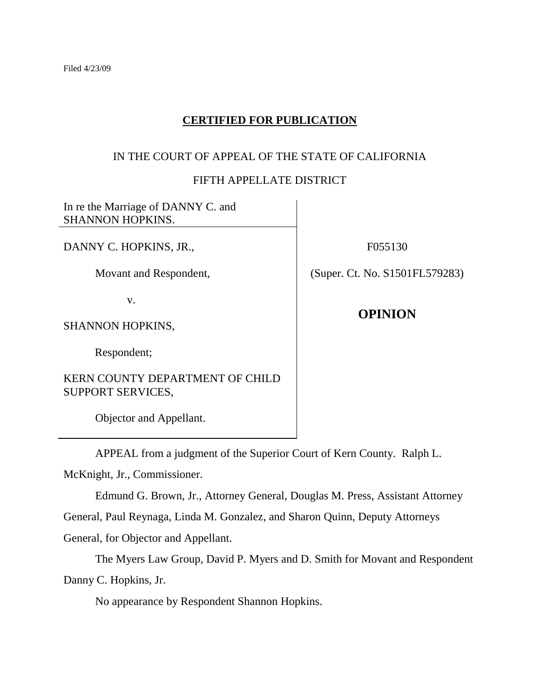# **CERTIFIED FOR PUBLICATION**

## IN THE COURT OF APPEAL OF THE STATE OF CALIFORNIA

## FIFTH APPELLATE DISTRICT

In re the Marriage of DANNY C. and SHANNON HOPKINS.

DANNY C. HOPKINS, JR.,

Movant and Respondent,

v.

SHANNON HOPKINS,

Respondent;

KERN COUNTY DEPARTMENT OF CHILD SUPPORT SERVICES,

Objector and Appellant.

F055130

(Super. Ct. No. S1501FL579283)

**OPINION**

APPEAL from a judgment of the Superior Court of Kern County. Ralph L.

McKnight, Jr., Commissioner.

Edmund G. Brown, Jr., Attorney General, Douglas M. Press, Assistant Attorney

General, Paul Reynaga, Linda M. Gonzalez, and Sharon Quinn, Deputy Attorneys

General, for Objector and Appellant.

The Myers Law Group, David P. Myers and D. Smith for Movant and Respondent Danny C. Hopkins, Jr.

No appearance by Respondent Shannon Hopkins.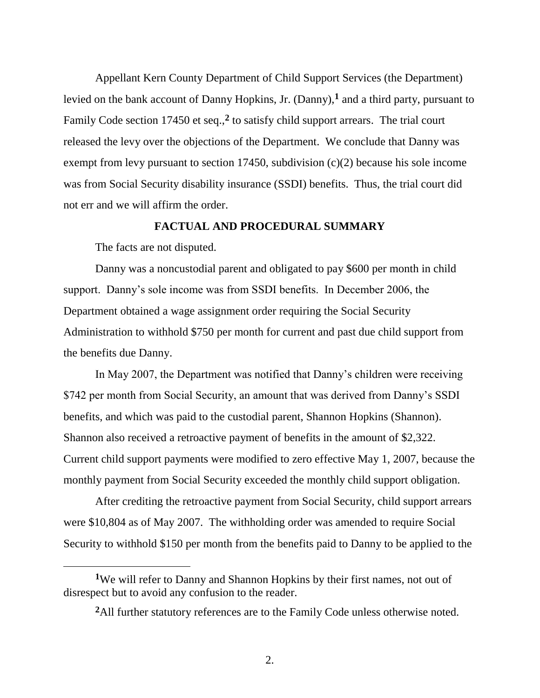Appellant Kern County Department of Child Support Services (the Department) levied on the bank account of Danny Hopkins, Jr. (Danny),**<sup>1</sup>** and a third party, pursuant to Family Code section 17450 et seq.,**<sup>2</sup>** to satisfy child support arrears. The trial court released the levy over the objections of the Department. We conclude that Danny was exempt from levy pursuant to section 17450, subdivision (c)(2) because his sole income was from Social Security disability insurance (SSDI) benefits. Thus, the trial court did not err and we will affirm the order.

### **FACTUAL AND PROCEDURAL SUMMARY**

The facts are not disputed.

 $\overline{a}$ 

Danny was a noncustodial parent and obligated to pay \$600 per month in child support. Danny's sole income was from SSDI benefits. In December 2006, the Department obtained a wage assignment order requiring the Social Security Administration to withhold \$750 per month for current and past due child support from the benefits due Danny.

In May 2007, the Department was notified that Danny's children were receiving \$742 per month from Social Security, an amount that was derived from Danny's SSDI benefits, and which was paid to the custodial parent, Shannon Hopkins (Shannon). Shannon also received a retroactive payment of benefits in the amount of \$2,322. Current child support payments were modified to zero effective May 1, 2007, because the monthly payment from Social Security exceeded the monthly child support obligation.

After crediting the retroactive payment from Social Security, child support arrears were \$10,804 as of May 2007. The withholding order was amended to require Social Security to withhold \$150 per month from the benefits paid to Danny to be applied to the

**<sup>1</sup>**We will refer to Danny and Shannon Hopkins by their first names, not out of disrespect but to avoid any confusion to the reader.

**<sup>2</sup>**All further statutory references are to the Family Code unless otherwise noted.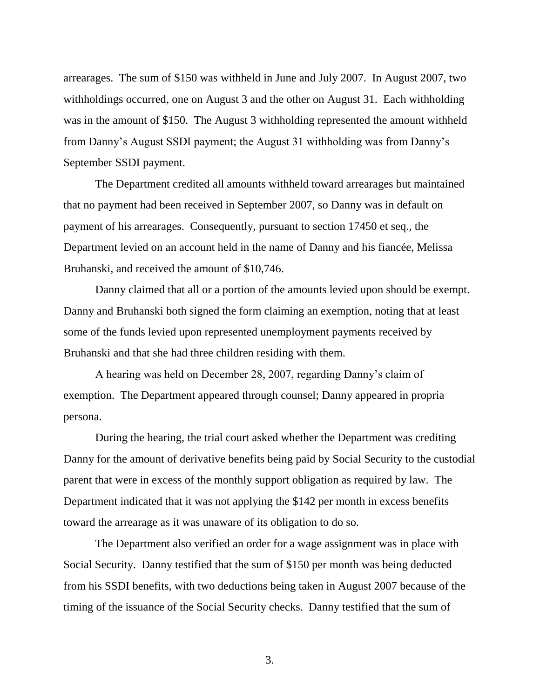arrearages. The sum of \$150 was withheld in June and July 2007. In August 2007, two withholdings occurred, one on August 3 and the other on August 31. Each withholding was in the amount of \$150. The August 3 withholding represented the amount withheld from Danny's August SSDI payment; the August 31 withholding was from Danny's September SSDI payment.

The Department credited all amounts withheld toward arrearages but maintained that no payment had been received in September 2007, so Danny was in default on payment of his arrearages. Consequently, pursuant to section 17450 et seq., the Department levied on an account held in the name of Danny and his fiancée, Melissa Bruhanski, and received the amount of \$10,746.

Danny claimed that all or a portion of the amounts levied upon should be exempt. Danny and Bruhanski both signed the form claiming an exemption, noting that at least some of the funds levied upon represented unemployment payments received by Bruhanski and that she had three children residing with them.

A hearing was held on December 28, 2007, regarding Danny's claim of exemption. The Department appeared through counsel; Danny appeared in propria persona.

During the hearing, the trial court asked whether the Department was crediting Danny for the amount of derivative benefits being paid by Social Security to the custodial parent that were in excess of the monthly support obligation as required by law. The Department indicated that it was not applying the \$142 per month in excess benefits toward the arrearage as it was unaware of its obligation to do so.

The Department also verified an order for a wage assignment was in place with Social Security. Danny testified that the sum of \$150 per month was being deducted from his SSDI benefits, with two deductions being taken in August 2007 because of the timing of the issuance of the Social Security checks. Danny testified that the sum of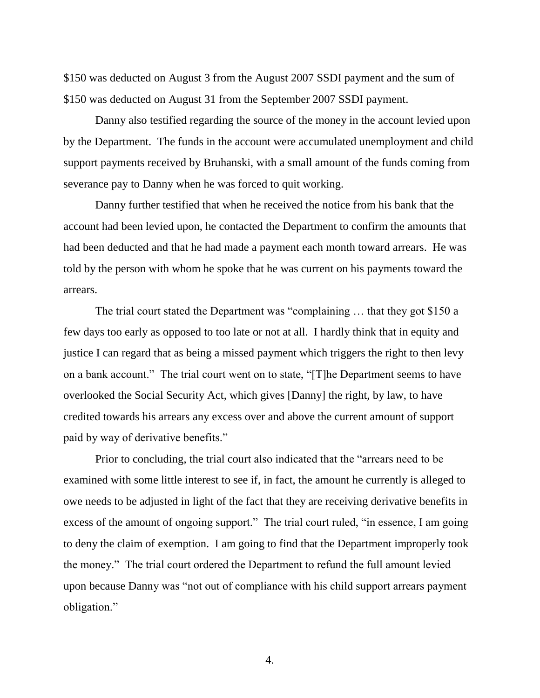\$150 was deducted on August 3 from the August 2007 SSDI payment and the sum of \$150 was deducted on August 31 from the September 2007 SSDI payment.

Danny also testified regarding the source of the money in the account levied upon by the Department. The funds in the account were accumulated unemployment and child support payments received by Bruhanski, with a small amount of the funds coming from severance pay to Danny when he was forced to quit working.

Danny further testified that when he received the notice from his bank that the account had been levied upon, he contacted the Department to confirm the amounts that had been deducted and that he had made a payment each month toward arrears. He was told by the person with whom he spoke that he was current on his payments toward the arrears.

The trial court stated the Department was "complaining … that they got \$150 a few days too early as opposed to too late or not at all. I hardly think that in equity and justice I can regard that as being a missed payment which triggers the right to then levy on a bank account." The trial court went on to state, "[T]he Department seems to have overlooked the Social Security Act, which gives [Danny] the right, by law, to have credited towards his arrears any excess over and above the current amount of support paid by way of derivative benefits."

Prior to concluding, the trial court also indicated that the "arrears need to be examined with some little interest to see if, in fact, the amount he currently is alleged to owe needs to be adjusted in light of the fact that they are receiving derivative benefits in excess of the amount of ongoing support." The trial court ruled, "in essence, I am going to deny the claim of exemption. I am going to find that the Department improperly took the money." The trial court ordered the Department to refund the full amount levied upon because Danny was "not out of compliance with his child support arrears payment obligation."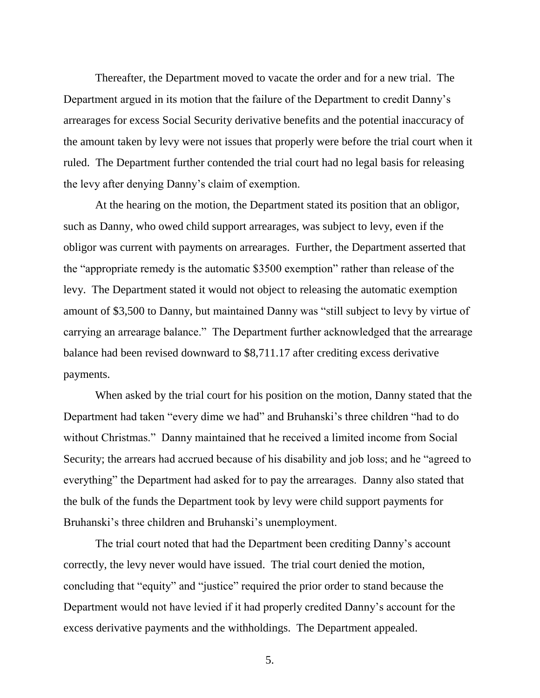Thereafter, the Department moved to vacate the order and for a new trial. The Department argued in its motion that the failure of the Department to credit Danny's arrearages for excess Social Security derivative benefits and the potential inaccuracy of the amount taken by levy were not issues that properly were before the trial court when it ruled. The Department further contended the trial court had no legal basis for releasing the levy after denying Danny's claim of exemption.

At the hearing on the motion, the Department stated its position that an obligor, such as Danny, who owed child support arrearages, was subject to levy, even if the obligor was current with payments on arrearages. Further, the Department asserted that the "appropriate remedy is the automatic \$3500 exemption" rather than release of the levy. The Department stated it would not object to releasing the automatic exemption amount of \$3,500 to Danny, but maintained Danny was "still subject to levy by virtue of carrying an arrearage balance." The Department further acknowledged that the arrearage balance had been revised downward to \$8,711.17 after crediting excess derivative payments.

When asked by the trial court for his position on the motion, Danny stated that the Department had taken "every dime we had" and Bruhanski's three children "had to do without Christmas." Danny maintained that he received a limited income from Social Security; the arrears had accrued because of his disability and job loss; and he "agreed to everything" the Department had asked for to pay the arrearages. Danny also stated that the bulk of the funds the Department took by levy were child support payments for Bruhanski's three children and Bruhanski's unemployment.

The trial court noted that had the Department been crediting Danny's account correctly, the levy never would have issued. The trial court denied the motion, concluding that "equity" and "justice" required the prior order to stand because the Department would not have levied if it had properly credited Danny's account for the excess derivative payments and the withholdings. The Department appealed.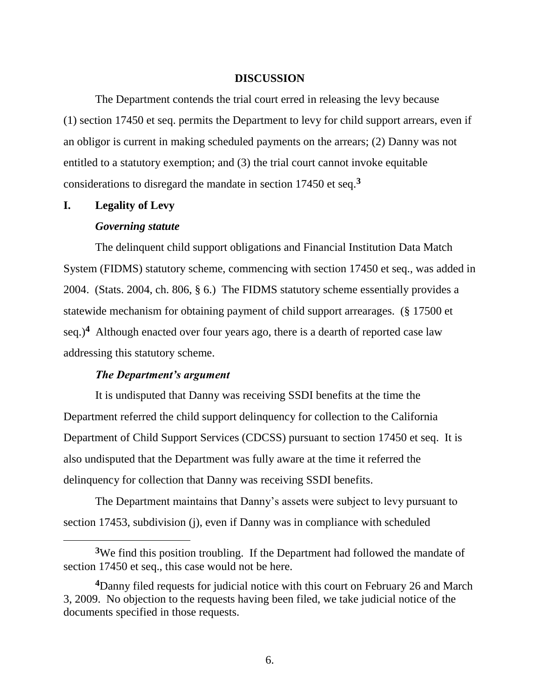#### **DISCUSSION**

The Department contends the trial court erred in releasing the levy because (1) section 17450 et seq. permits the Department to levy for child support arrears, even if an obligor is current in making scheduled payments on the arrears; (2) Danny was not entitled to a statutory exemption; and (3) the trial court cannot invoke equitable considerations to disregard the mandate in section 17450 et seq.**<sup>3</sup>**

#### **I. Legality of Levy**

 $\overline{a}$ 

#### *Governing statute*

The delinquent child support obligations and Financial Institution Data Match System (FIDMS) statutory scheme, commencing with section 17450 et seq., was added in 2004. (Stats. 2004, ch. 806, § 6.) The FIDMS statutory scheme essentially provides a statewide mechanism for obtaining payment of child support arrearages. (§ 17500 et seq.)**<sup>4</sup>** Although enacted over four years ago, there is a dearth of reported case law addressing this statutory scheme.

#### *The Department's argument*

It is undisputed that Danny was receiving SSDI benefits at the time the Department referred the child support delinquency for collection to the California Department of Child Support Services (CDCSS) pursuant to section 17450 et seq. It is also undisputed that the Department was fully aware at the time it referred the delinquency for collection that Danny was receiving SSDI benefits.

The Department maintains that Danny's assets were subject to levy pursuant to section 17453, subdivision (j), even if Danny was in compliance with scheduled

**<sup>3</sup>**We find this position troubling. If the Department had followed the mandate of section 17450 et seq., this case would not be here.

**<sup>4</sup>**Danny filed requests for judicial notice with this court on February 26 and March 3, 2009. No objection to the requests having been filed, we take judicial notice of the documents specified in those requests.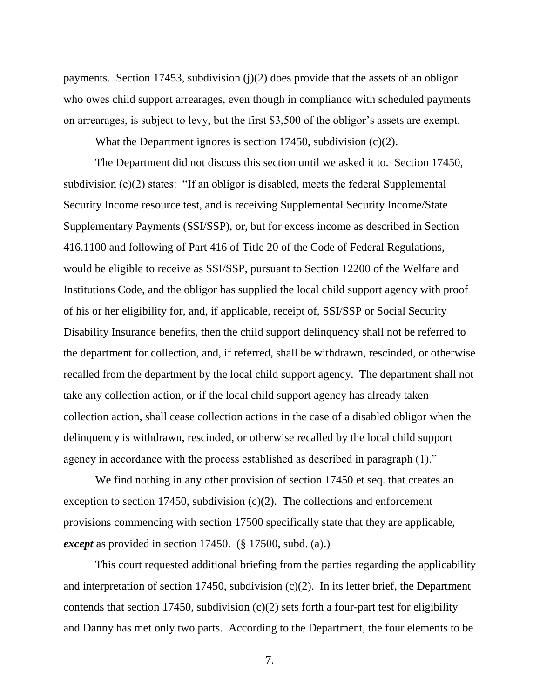payments. Section 17453, subdivision (j)(2) does provide that the assets of an obligor who owes child support arrearages, even though in compliance with scheduled payments on arrearages, is subject to levy, but the first \$3,500 of the obligor's assets are exempt.

What the Department ignores is section 17450, subdivision (c)(2).

The Department did not discuss this section until we asked it to. Section 17450, subdivision (c)(2) states: "If an obligor is disabled, meets the federal Supplemental Security Income resource test, and is receiving Supplemental Security Income/State Supplementary Payments (SSI/SSP), or, but for excess income as described in Section 416.1100 and following of Part 416 of Title 20 of the Code of Federal Regulations, would be eligible to receive as SSI/SSP, pursuant to Section 12200 of the Welfare and Institutions Code, and the obligor has supplied the local child support agency with proof of his or her eligibility for, and, if applicable, receipt of, SSI/SSP or Social Security Disability Insurance benefits, then the child support delinquency shall not be referred to the department for collection, and, if referred, shall be withdrawn, rescinded, or otherwise recalled from the department by the local child support agency. The department shall not take any collection action, or if the local child support agency has already taken collection action, shall cease collection actions in the case of a disabled obligor when the delinquency is withdrawn, rescinded, or otherwise recalled by the local child support agency in accordance with the process established as described in paragraph (1)."

We find nothing in any other provision of section 17450 et seq. that creates an exception to section 17450, subdivision (c)(2). The collections and enforcement provisions commencing with section 17500 specifically state that they are applicable, *except* as provided in section 17450. (§ 17500, subd. (a).)

This court requested additional briefing from the parties regarding the applicability and interpretation of section 17450, subdivision (c)(2). In its letter brief, the Department contends that section 17450, subdivision  $(c)(2)$  sets forth a four-part test for eligibility and Danny has met only two parts. According to the Department, the four elements to be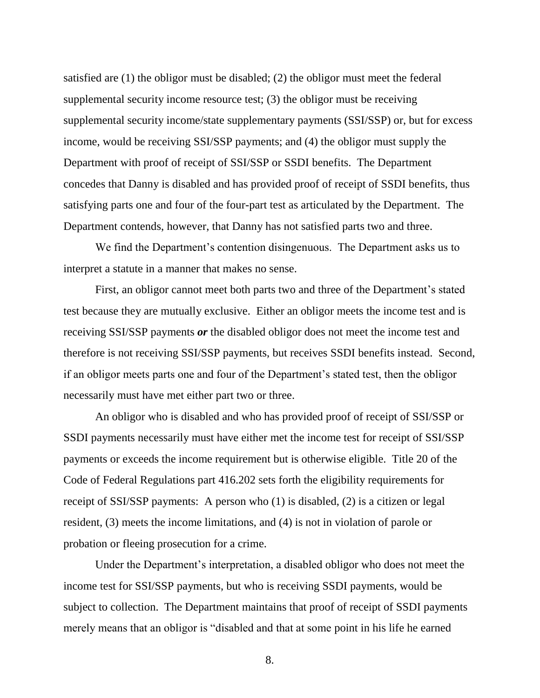satisfied are (1) the obligor must be disabled; (2) the obligor must meet the federal supplemental security income resource test; (3) the obligor must be receiving supplemental security income/state supplementary payments (SSI/SSP) or, but for excess income, would be receiving SSI/SSP payments; and (4) the obligor must supply the Department with proof of receipt of SSI/SSP or SSDI benefits. The Department concedes that Danny is disabled and has provided proof of receipt of SSDI benefits, thus satisfying parts one and four of the four-part test as articulated by the Department. The Department contends, however, that Danny has not satisfied parts two and three.

We find the Department's contention disingenuous. The Department asks us to interpret a statute in a manner that makes no sense.

First, an obligor cannot meet both parts two and three of the Department's stated test because they are mutually exclusive. Either an obligor meets the income test and is receiving SSI/SSP payments *or* the disabled obligor does not meet the income test and therefore is not receiving SSI/SSP payments, but receives SSDI benefits instead. Second, if an obligor meets parts one and four of the Department's stated test, then the obligor necessarily must have met either part two or three.

An obligor who is disabled and who has provided proof of receipt of SSI/SSP or SSDI payments necessarily must have either met the income test for receipt of SSI/SSP payments or exceeds the income requirement but is otherwise eligible. Title 20 of the Code of Federal Regulations part 416.202 sets forth the eligibility requirements for receipt of SSI/SSP payments: A person who (1) is disabled, (2) is a citizen or legal resident, (3) meets the income limitations, and (4) is not in violation of parole or probation or fleeing prosecution for a crime.

Under the Department's interpretation, a disabled obligor who does not meet the income test for SSI/SSP payments, but who is receiving SSDI payments, would be subject to collection. The Department maintains that proof of receipt of SSDI payments merely means that an obligor is "disabled and that at some point in his life he earned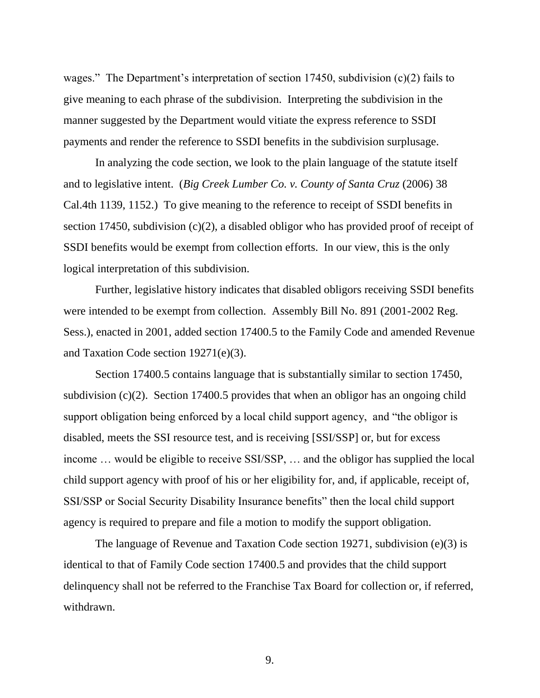wages." The Department's interpretation of section 17450, subdivision (c)(2) fails to give meaning to each phrase of the subdivision. Interpreting the subdivision in the manner suggested by the Department would vitiate the express reference to SSDI payments and render the reference to SSDI benefits in the subdivision surplusage.

In analyzing the code section, we look to the plain language of the statute itself and to legislative intent. (*Big Creek Lumber Co. v. County of Santa Cruz* (2006) 38 Cal.4th 1139, 1152.) To give meaning to the reference to receipt of SSDI benefits in section 17450, subdivision (c)(2), a disabled obligor who has provided proof of receipt of SSDI benefits would be exempt from collection efforts. In our view, this is the only logical interpretation of this subdivision.

Further, legislative history indicates that disabled obligors receiving SSDI benefits were intended to be exempt from collection. Assembly Bill No. 891 (2001-2002 Reg. Sess.), enacted in 2001, added section 17400.5 to the Family Code and amended Revenue and Taxation Code section 19271(e)(3).

Section 17400.5 contains language that is substantially similar to section 17450, subdivision (c)(2). Section 17400.5 provides that when an obligor has an ongoing child support obligation being enforced by a local child support agency, and "the obligor is disabled, meets the SSI resource test, and is receiving [SSI/SSP] or, but for excess income … would be eligible to receive SSI/SSP, … and the obligor has supplied the local child support agency with proof of his or her eligibility for, and, if applicable, receipt of, SSI/SSP or Social Security Disability Insurance benefits" then the local child support agency is required to prepare and file a motion to modify the support obligation.

The language of Revenue and Taxation Code section 19271, subdivision (e)(3) is identical to that of Family Code section 17400.5 and provides that the child support delinquency shall not be referred to the Franchise Tax Board for collection or, if referred, withdrawn.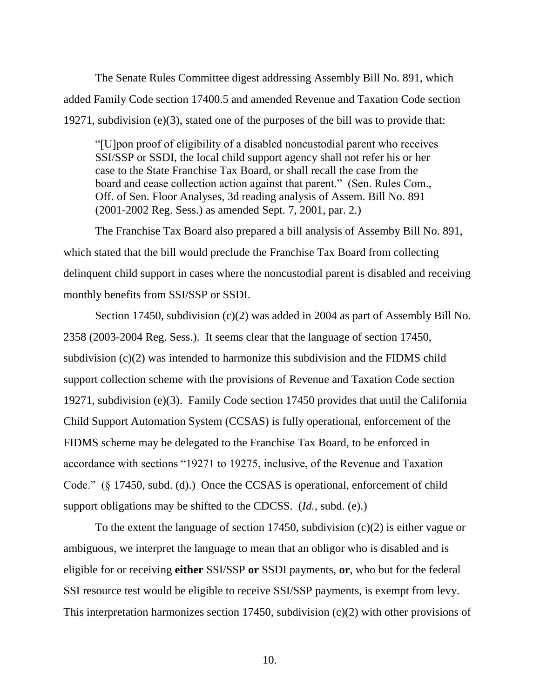The Senate Rules Committee digest addressing Assembly Bill No. 891, which added Family Code section 17400.5 and amended Revenue and Taxation Code section 19271, subdivision (e)(3), stated one of the purposes of the bill was to provide that:

"[U]pon proof of eligibility of a disabled noncustodial parent who receives SSI/SSP or SSDI, the local child support agency shall not refer his or her case to the State Franchise Tax Board, or shall recall the case from the board and cease collection action against that parent." (Sen. Rules Com., Off. of Sen. Floor Analyses, 3d reading analysis of Assem. Bill No. 891 (2001-2002 Reg. Sess.) as amended Sept. 7, 2001, par. 2.)

The Franchise Tax Board also prepared a bill analysis of Assemby Bill No. 891, which stated that the bill would preclude the Franchise Tax Board from collecting delinquent child support in cases where the noncustodial parent is disabled and receiving monthly benefits from SSI/SSP or SSDI.

Section 17450, subdivision (c)(2) was added in 2004 as part of Assembly Bill No. 2358 (2003-2004 Reg. Sess.). It seems clear that the language of section 17450, subdivision  $(c)(2)$  was intended to harmonize this subdivision and the FIDMS child support collection scheme with the provisions of Revenue and Taxation Code section 19271, subdivision (e)(3). Family Code section 17450 provides that until the California Child Support Automation System (CCSAS) is fully operational, enforcement of the FIDMS scheme may be delegated to the Franchise Tax Board, to be enforced in accordance with sections "19271 to 19275, inclusive, of the Revenue and Taxation Code." (§ 17450, subd. (d).) Once the CCSAS is operational, enforcement of child support obligations may be shifted to the CDCSS. (*Id.*, subd. (e).)

To the extent the language of section 17450, subdivision (c)(2) is either vague or ambiguous, we interpret the language to mean that an obligor who is disabled and is eligible for or receiving **either** SSI/SSP **or** SSDI payments, **or**, who but for the federal SSI resource test would be eligible to receive SSI/SSP payments, is exempt from levy. This interpretation harmonizes section 17450, subdivision (c)(2) with other provisions of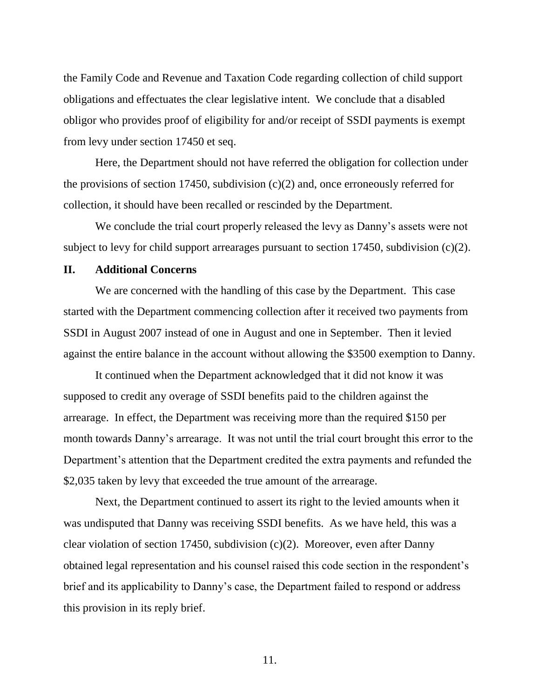the Family Code and Revenue and Taxation Code regarding collection of child support obligations and effectuates the clear legislative intent. We conclude that a disabled obligor who provides proof of eligibility for and/or receipt of SSDI payments is exempt from levy under section 17450 et seq.

Here, the Department should not have referred the obligation for collection under the provisions of section 17450, subdivision  $(c)(2)$  and, once erroneously referred for collection, it should have been recalled or rescinded by the Department.

We conclude the trial court properly released the levy as Danny's assets were not subject to levy for child support arrearages pursuant to section 17450, subdivision (c)(2).

### **II. Additional Concerns**

We are concerned with the handling of this case by the Department. This case started with the Department commencing collection after it received two payments from SSDI in August 2007 instead of one in August and one in September. Then it levied against the entire balance in the account without allowing the \$3500 exemption to Danny.

It continued when the Department acknowledged that it did not know it was supposed to credit any overage of SSDI benefits paid to the children against the arrearage. In effect, the Department was receiving more than the required \$150 per month towards Danny's arrearage. It was not until the trial court brought this error to the Department's attention that the Department credited the extra payments and refunded the \$2,035 taken by levy that exceeded the true amount of the arrearage.

Next, the Department continued to assert its right to the levied amounts when it was undisputed that Danny was receiving SSDI benefits. As we have held, this was a clear violation of section 17450, subdivision (c)(2). Moreover, even after Danny obtained legal representation and his counsel raised this code section in the respondent's brief and its applicability to Danny's case, the Department failed to respond or address this provision in its reply brief.